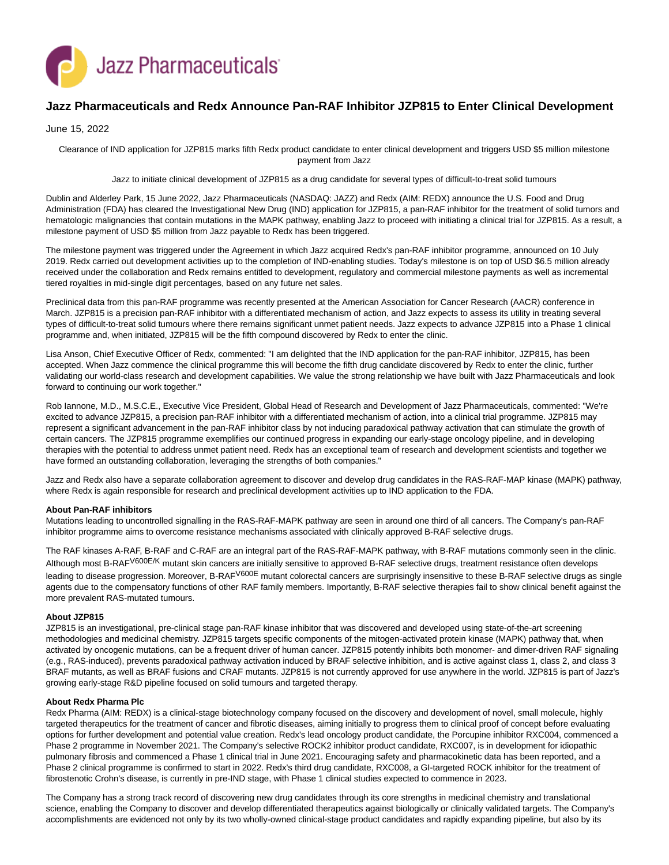

# **Jazz Pharmaceuticals and Redx Announce Pan-RAF Inhibitor JZP815 to Enter Clinical Development**

## June 15, 2022

Clearance of IND application for JZP815 marks fifth Redx product candidate to enter clinical development and triggers USD \$5 million milestone payment from Jazz

Jazz to initiate clinical development of JZP815 as a drug candidate for several types of difficult-to-treat solid tumours

Dublin and Alderley Park, 15 June 2022, Jazz Pharmaceuticals (NASDAQ: JAZZ) and Redx (AIM: REDX) announce the U.S. Food and Drug Administration (FDA) has cleared the Investigational New Drug (IND) application for JZP815, a pan-RAF inhibitor for the treatment of solid tumors and hematologic malignancies that contain mutations in the MAPK pathway, enabling Jazz to proceed with initiating a clinical trial for JZP815. As a result, a milestone payment of USD \$5 million from Jazz payable to Redx has been triggered.

The milestone payment was triggered under the Agreement in which Jazz acquired Redx's pan-RAF inhibitor programme, announced on 10 July 2019. Redx carried out development activities up to the completion of IND-enabling studies. Today's milestone is on top of USD \$6.5 million already received under the collaboration and Redx remains entitled to development, regulatory and commercial milestone payments as well as incremental tiered royalties in mid-single digit percentages, based on any future net sales.

Preclinical data from this pan-RAF programme was recently presented at the American Association for Cancer Research (AACR) conference in March. JZP815 is a precision pan-RAF inhibitor with a differentiated mechanism of action, and Jazz expects to assess its utility in treating several types of difficult-to-treat solid tumours where there remains significant unmet patient needs. Jazz expects to advance JZP815 into a Phase 1 clinical programme and, when initiated, JZP815 will be the fifth compound discovered by Redx to enter the clinic.

Lisa Anson, Chief Executive Officer of Redx, commented: "I am delighted that the IND application for the pan-RAF inhibitor, JZP815, has been accepted. When Jazz commence the clinical programme this will become the fifth drug candidate discovered by Redx to enter the clinic, further validating our world-class research and development capabilities. We value the strong relationship we have built with Jazz Pharmaceuticals and look forward to continuing our work together."

Rob Iannone, M.D., M.S.C.E., Executive Vice President, Global Head of Research and Development of Jazz Pharmaceuticals, commented: "We're excited to advance JZP815, a precision pan-RAF inhibitor with a differentiated mechanism of action, into a clinical trial programme. JZP815 may represent a significant advancement in the pan-RAF inhibitor class by not inducing paradoxical pathway activation that can stimulate the growth of certain cancers. The JZP815 programme exemplifies our continued progress in expanding our early-stage oncology pipeline, and in developing therapies with the potential to address unmet patient need. Redx has an exceptional team of research and development scientists and together we have formed an outstanding collaboration, leveraging the strengths of both companies."

Jazz and Redx also have a separate collaboration agreement to discover and develop drug candidates in the RAS-RAF-MAP kinase (MAPK) pathway, where Redx is again responsible for research and preclinical development activities up to IND application to the FDA.

#### **About Pan-RAF inhibitors**

Mutations leading to uncontrolled signalling in the RAS-RAF-MAPK pathway are seen in around one third of all cancers. The Company's pan-RAF inhibitor programme aims to overcome resistance mechanisms associated with clinically approved B-RAF selective drugs.

The RAF kinases A-RAF, B-RAF and C-RAF are an integral part of the RAS-RAF-MAPK pathway, with B-RAF mutations commonly seen in the clinic. Although most B-RAF<sup>V600E/K</sup> mutant skin cancers are initially sensitive to approved B-RAF selective drugs, treatment resistance often develops leading to disease progression. Moreover, B-RAF<sup>V600E</sup> mutant colorectal cancers are surprisingly insensitive to these B-RAF selective drugs as single agents due to the compensatory functions of other RAF family members. Importantly, B-RAF selective therapies fail to show clinical benefit against the more prevalent RAS-mutated tumours.

#### **About JZP815**

JZP815 is an investigational, pre-clinical stage pan-RAF kinase inhibitor that was discovered and developed using state-of-the-art screening methodologies and medicinal chemistry. JZP815 targets specific components of the mitogen-activated protein kinase (MAPK) pathway that, when activated by oncogenic mutations, can be a frequent driver of human cancer. JZP815 potently inhibits both monomer- and dimer-driven RAF signaling (e.g., RAS-induced), prevents paradoxical pathway activation induced by BRAF selective inhibition, and is active against class 1, class 2, and class 3 BRAF mutants, as well as BRAF fusions and CRAF mutants. JZP815 is not currently approved for use anywhere in the world. JZP815 is part of Jazz's growing early-stage R&D pipeline focused on solid tumours and targeted therapy.

## **About Redx Pharma Plc**

Redx Pharma (AIM: REDX) is a clinical-stage biotechnology company focused on the discovery and development of novel, small molecule, highly targeted therapeutics for the treatment of cancer and fibrotic diseases, aiming initially to progress them to clinical proof of concept before evaluating options for further development and potential value creation. Redx's lead oncology product candidate, the Porcupine inhibitor RXC004, commenced a Phase 2 programme in November 2021. The Company's selective ROCK2 inhibitor product candidate, RXC007, is in development for idiopathic pulmonary fibrosis and commenced a Phase 1 clinical trial in June 2021. Encouraging safety and pharmacokinetic data has been reported, and a Phase 2 clinical programme is confirmed to start in 2022. Redx's third drug candidate, RXC008, a GI-targeted ROCK inhibitor for the treatment of fibrostenotic Crohn's disease, is currently in pre-IND stage, with Phase 1 clinical studies expected to commence in 2023.

The Company has a strong track record of discovering new drug candidates through its core strengths in medicinal chemistry and translational science, enabling the Company to discover and develop differentiated therapeutics against biologically or clinically validated targets. The Company's accomplishments are evidenced not only by its two wholly-owned clinical-stage product candidates and rapidly expanding pipeline, but also by its